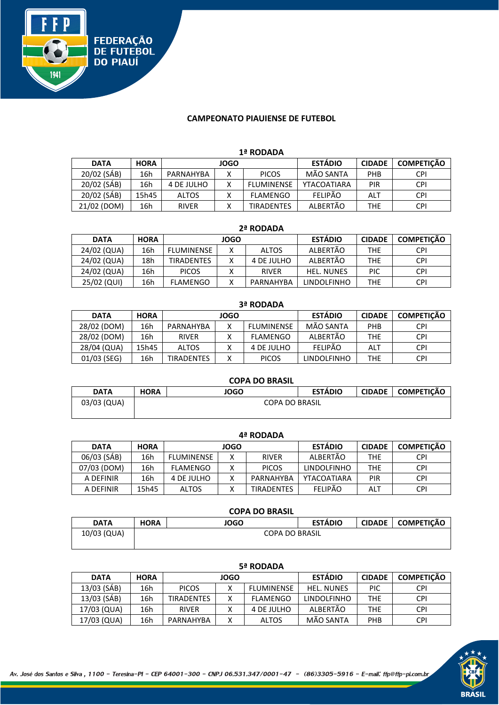

#### **CAMPEONATO PIAUIENSE DE FUTEBOL**

#### **1ª RODADA**

| <b>DATA</b> | <b>HORA</b> | <b>JOGO</b>  |  |                   | <b>ESTÁDIO</b> | <b>CIDADE</b> | <b>COMPETICÃO</b> |
|-------------|-------------|--------------|--|-------------------|----------------|---------------|-------------------|
| 20/02 (SÁB) | 16h         | PARNAHYBA    |  | <b>PICOS</b>      | MÃO SANTA      | PHB           | <b>CPI</b>        |
| 20/02 (SÁB) | 16h         | 4 DE JULHO   |  | <b>FLUMINENSE</b> | YTACOATIARA    | PIR           | <b>CPI</b>        |
| 20/02 (SÁB) | 15h45       | <b>ALTOS</b> |  | FLAMENGO          | <b>FELIPÃO</b> | ALT           | <b>CPI</b>        |
| 21/02 (DOM) | 16h         | <b>RIVER</b> |  | <b>TIRADENTES</b> | ALBERTÃO       | THE           | <b>CPI</b>        |

#### **2ª RODADA**

| <b>DATA</b> | <b>HORA</b> | <b>JOGO</b>       |  |              | <b>ESTÁDIO</b>     | <b>CIDADE</b> | <b>COMPETICÃO</b> |
|-------------|-------------|-------------------|--|--------------|--------------------|---------------|-------------------|
| 24/02 (QUA) | 16h         | <b>FLUMINENSE</b> |  | <b>ALTOS</b> | ALBERTÃO           | THE           | <b>CPI</b>        |
| 24/02 (QUA) | 18h         | <b>TIRADENTES</b> |  | 4 DE JULHO   | ALBERTÃO           | THE           | <b>CPI</b>        |
| 24/02 (QUA) | 16h         | <b>PICOS</b>      |  | <b>RIVER</b> | <b>HEL. NUNES</b>  | PIC           | <b>CPI</b>        |
| 25/02 (QUI) | 16h         | FLAMENGO          |  | PARNAHYBA    | <b>LINDOLFINHO</b> | THE           | <b>CPI</b>        |

| J- INVUMUM  |             |                   |              |                   |                |               |                   |  |  |  |
|-------------|-------------|-------------------|--------------|-------------------|----------------|---------------|-------------------|--|--|--|
| <b>DATA</b> | <b>HORA</b> |                   | <b>JOGO</b>  |                   | <b>ESTÁDIO</b> | <b>CIDADE</b> | <b>COMPETICÃO</b> |  |  |  |
| 28/02 (DOM) | 16h         | PARNAHYBA         | $\checkmark$ | <b>FLUMINENSE</b> | MÃO SANTA      | PHB           | <b>CPI</b>        |  |  |  |
| 28/02 (DOM) | 16h         | <b>RIVER</b>      |              | <b>FLAMENGO</b>   | ALBERTÃO       | THE           | <b>CPI</b>        |  |  |  |
| 28/04 (QUA) | 15h45       | <b>ALTOS</b>      |              | 4 DE JULHO        | <b>FELIPÃO</b> | ALT           | <b>CPI</b>        |  |  |  |
| 01/03 (SEG) | 16h         | <b>TIRADENTES</b> |              | <b>PICOS</b>      | LINDOLFINHO    | THE           | <b>CPI</b>        |  |  |  |

| <b>COPA DO BRASIL</b> |             |                       |                |  |                     |  |  |  |  |  |
|-----------------------|-------------|-----------------------|----------------|--|---------------------|--|--|--|--|--|
| <b>DATA</b>           | <b>HORA</b> | JOGO                  | <b>ESTÁDIO</b> |  | CIDADE   COMPETIÇÃO |  |  |  |  |  |
| 03/03 (QUA)           |             | <b>COPA DO BRASIL</b> |                |  |                     |  |  |  |  |  |

| 77 IV PAPA  |             |                   |   |                   |                    |               |                   |  |  |  |
|-------------|-------------|-------------------|---|-------------------|--------------------|---------------|-------------------|--|--|--|
| <b>DATA</b> | <b>HORA</b> | JOGO              |   |                   | <b>ESTÁDIO</b>     | <b>CIDADE</b> | <b>COMPETIÇÃO</b> |  |  |  |
| 06/03 (SÁB) | 16h         | <b>FLUMINENSE</b> | v | <b>RIVER</b>      | ALBERTÃO           | THE           | <b>CPI</b>        |  |  |  |
| 07/03 (DOM) | 16h         | <b>FLAMENGO</b>   |   | <b>PICOS</b>      | <b>LINDOLFINHO</b> | THE           | <b>CPI</b>        |  |  |  |
| A DEFINIR   | 16h         | 4 DE JULHO        |   | PARNAHYBA         | YTACOATIARA        | PIR           | <b>CPI</b>        |  |  |  |
| A DEFINIR   | 15h45       | <b>ALTOS</b>      |   | <b>TIRADENTES</b> | <b>FELIPÃO</b>     | <b>ALT</b>    | <b>CPI</b>        |  |  |  |

| <b>COPA DO BRASIL</b> |             |                       |                |               |                   |  |  |  |  |  |
|-----------------------|-------------|-----------------------|----------------|---------------|-------------------|--|--|--|--|--|
| <b>DATA</b>           | <b>HORA</b> | JOGO                  | <b>ESTÁDIO</b> | <b>CIDADE</b> | <b>COMPETICÃO</b> |  |  |  |  |  |
| 10/03 (QUA)           |             | <b>COPA DO BRASIL</b> |                |               |                   |  |  |  |  |  |

| 5ª RODADA   |             |                   |   |                   |                    |               |                   |  |  |  |
|-------------|-------------|-------------------|---|-------------------|--------------------|---------------|-------------------|--|--|--|
| <b>DATA</b> | <b>HORA</b> | <b>JOGO</b>       |   |                   | <b>ESTÁDIO</b>     | <b>CIDADE</b> | <b>COMPETICÃO</b> |  |  |  |
| 13/03 (SÁB) | 16h         | <b>PICOS</b>      |   | <b>FLUMINENSE</b> | <b>HEL. NUNES</b>  | <b>PIC</b>    | <b>CPI</b>        |  |  |  |
| 13/03 (SÁB) | 16h         | <b>TIRADENTES</b> |   | <b>FLAMENGO</b>   | <b>LINDOLFINHO</b> | <b>THE</b>    | <b>CPI</b>        |  |  |  |
| 17/03 (QUA) | 16h         | <b>RIVER</b>      |   | 4 DE JULHO        | ALBERTÃO           | THE           | <b>CPI</b>        |  |  |  |
| 17/03 (QUA) | 16h         | PARNAHYBA         | ⋏ | <b>ALTOS</b>      | MÃO SANTA          | <b>PHB</b>    | <b>CPI</b>        |  |  |  |

# **RRASH**

# **3ª RODADA**

## **4ª RODADA**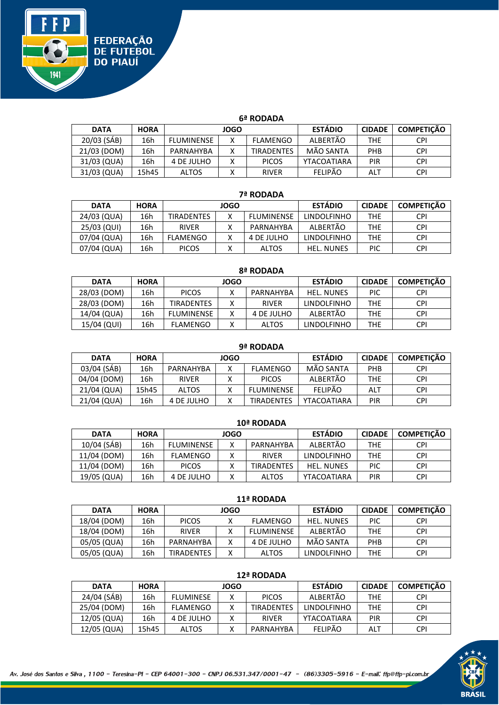

#### **6ª RODADA**

| <b>DATA</b> | <b>HORA</b> | <b>JOGO</b>       |              |                   | <b>ESTÁDIO</b> | <b>CIDADE</b> | <b>COMPETICÃO</b> |
|-------------|-------------|-------------------|--------------|-------------------|----------------|---------------|-------------------|
| 20/03 (SÁB) | 16h         | <b>FLUMINENSE</b> | $\checkmark$ | FLAMENGO          | ALBERTÃO       | <b>THE</b>    | <b>CPI</b>        |
| 21/03 (DOM) | 16h         | PARNAHYBA         |              | <b>TIRADENTES</b> | MÃO SANTA      | <b>PHB</b>    | <b>CPI</b>        |
| 31/03 (QUA) | 16h         | 4 DE JULHO        |              | <b>PICOS</b>      | YTACOATIARA    | PIR           | <b>CPI</b>        |
| 31/03 (QUA) | 15h45       | <b>ALTOS</b>      |              | <b>RIVER</b>      | <b>FELIPÃO</b> | ALT           | CPI               |

#### **7ª RODADA**

| <b>DATA</b> | <b>HORA</b> | <b>JOGO</b>       |  |                   | <b>ESTÁDIO</b>     | <b>CIDADE</b> | <b>COMPETICÃO</b> |
|-------------|-------------|-------------------|--|-------------------|--------------------|---------------|-------------------|
| 24/03 (QUA) | 16h         | <b>TIRADENTES</b> |  | <b>FLUMINENSE</b> | <b>LINDOLFINHO</b> | THE           | <b>CPI</b>        |
| 25/03 (QUI) | 16h         | <b>RIVER</b>      |  | PARNAHYBA         | ALBERTÃO           | THE           | <b>CPI</b>        |
| 07/04 (QUA) | 16h         | <b>FLAMENGO</b>   |  | 4 DE JULHO        | <b>LINDOLFINHO</b> | THE           | <b>CPI</b>        |
| 07/04 (QUA) | 16h         | <b>PICOS</b>      |  | <b>ALTOS</b>      | <b>HEL. NUNES</b>  | PIC           | <b>CPI</b>        |

| 8ª RODADA   |             |                   |   |              |                    |               |                   |  |  |  |
|-------------|-------------|-------------------|---|--------------|--------------------|---------------|-------------------|--|--|--|
| <b>DATA</b> | <b>HORA</b> | <b>JOGO</b>       |   |              | <b>ESTÁDIO</b>     | <b>CIDADE</b> | <b>COMPETIÇÃO</b> |  |  |  |
| 28/03 (DOM) | 16h         | <b>PICOS</b>      | χ | PARNAHYBA    | <b>HEL. NUNES</b>  | <b>PIC</b>    | <b>CPI</b>        |  |  |  |
| 28/03 (DOM) | 16h         | <b>TIRADENTES</b> | Χ | <b>RIVER</b> | <b>LINDOLFINHO</b> | <b>THE</b>    | <b>CPI</b>        |  |  |  |
| 14/04 (QUA) | 16h         | <b>FLUMINENSE</b> | Χ | 4 DE JULHO   | ALBERTÃO           | <b>THE</b>    | <b>CPI</b>        |  |  |  |
| 15/04 (QUI) | 16h         | <b>FLAMENGO</b>   | Χ | <b>ALTOS</b> | <b>LINDOLFINHO</b> | <b>THE</b>    | <b>CPI</b>        |  |  |  |

| 9ª RODADA   |             |              |   |                   |                |               |                   |  |  |  |
|-------------|-------------|--------------|---|-------------------|----------------|---------------|-------------------|--|--|--|
| <b>DATA</b> | <b>HORA</b> | JOGO         |   |                   | <b>ESTÁDIO</b> | <b>CIDADE</b> | <b>COMPETICÃO</b> |  |  |  |
| 03/04 (SÁB) | 16h         | PARNAHYBA    | v | <b>FLAMENGO</b>   | MÃO SANTA      | <b>PHB</b>    | <b>CPI</b>        |  |  |  |
| 04/04 (DOM) | 16h         | <b>RIVER</b> |   | <b>PICOS</b>      | ALBERTÃO       | <b>THE</b>    | <b>CPI</b>        |  |  |  |
| 21/04 (QUA) | 15h45       | <b>ALTOS</b> |   | <b>FLUMINENSE</b> | <b>FELIPÃO</b> | <b>ALT</b>    | <b>CPI</b>        |  |  |  |
| 21/04 (QUA) | 16h         | 4 DE JULHO   |   | <b>TIRADENTES</b> | YTACOATIARA    | <b>PIR</b>    | <b>CPI</b>        |  |  |  |

| 10- NUDADA  |             |                   |             |                   |                    |               |                   |  |  |  |
|-------------|-------------|-------------------|-------------|-------------------|--------------------|---------------|-------------------|--|--|--|
| <b>DATA</b> | <b>HORA</b> |                   | <b>JOGO</b> |                   | <b>ESTÁDIO</b>     | <b>CIDADE</b> | <b>COMPETICÃO</b> |  |  |  |
| 10/04 (SÁB) | 16h         | <b>FLUMINENSE</b> | v           | PARNAHYBA         | ALBERTÃO           | <b>THE</b>    | CPI               |  |  |  |
| 11/04 (DOM) | 16h         | <b>FLAMENGO</b>   |             | <b>RIVER</b>      | <b>LINDOLFINHO</b> | <b>THE</b>    | <b>CPI</b>        |  |  |  |
| 11/04 (DOM) | 16h         | <b>PICOS</b>      |             | <b>TIRADENTES</b> | <b>HEL. NUNES</b>  | PIC           | <b>CPI</b>        |  |  |  |
| 19/05 (QUA) | 16h         | 4 DE JULHO        |             | <b>ALTOS</b>      | YTACOATIARA        | PIR           | <b>CPI</b>        |  |  |  |

| $+ +  - + -$ |             |                   |  |                 |                    |               |                   |  |  |  |
|--------------|-------------|-------------------|--|-----------------|--------------------|---------------|-------------------|--|--|--|
| <b>DATA</b>  | <b>HORA</b> | <b>JOGO</b>       |  |                 | <b>ESTÁDIO</b>     | <b>CIDADE</b> | <b>COMPETIÇÃO</b> |  |  |  |
| 18/04 (DOM)  | 16h         | <b>PICOS</b>      |  | <b>FLAMENGO</b> | <b>HEL. NUNES</b>  | <b>PIC</b>    | <b>CPI</b>        |  |  |  |
| 18/04 (DOM)  | 16h         | <b>RIVER</b>      |  | FLUMINENSE      | ALBERTÃO           | <b>THE</b>    | <b>CPI</b>        |  |  |  |
| 05/05 (QUA)  | 16h         | PARNAHYBA         |  | 4 DE JULHO      | MÃO SANTA          | <b>PHB</b>    | <b>CPI</b>        |  |  |  |
| 05/05 (QUA)  | 16h         | <b>TIRADENTES</b> |  | <b>ALTOS</b>    | <b>LINDOLFINHO</b> | <b>THE</b>    | <b>CPI</b>        |  |  |  |

| $12 - 100$ profiled |             |                  |              |                   |                    |               |                   |  |  |  |
|---------------------|-------------|------------------|--------------|-------------------|--------------------|---------------|-------------------|--|--|--|
| <b>DATA</b>         | <b>HORA</b> |                  | JOGO         |                   | <b>ESTÁDIO</b>     | <b>CIDADE</b> | <b>COMPETIÇÃO</b> |  |  |  |
| 24/04 (SÁB)         | 16h         | <b>FLUMINESE</b> | $\checkmark$ | <b>PICOS</b>      | ALBERTÃO           | <b>THE</b>    | <b>CPI</b>        |  |  |  |
| 25/04 (DOM)         | 16h         | <b>FLAMENGO</b>  | $\checkmark$ | <b>TIRADENTES</b> | <b>LINDOLFINHO</b> | <b>THE</b>    | <b>CPI</b>        |  |  |  |
| 12/05 (QUA)         | 16h         | 4 DE JULHO       | v            | <b>RIVER</b>      | YTACOATIARA        | <b>PIR</b>    | <b>CPI</b>        |  |  |  |
| 12/05 (QUA)         | 15h45       | <b>ALTOS</b>     |              | PARNAHYBA         | <b>FFLIPÃO</b>     | ALT           | <b>CPI</b>        |  |  |  |

# **12ª RODADA**

#### **10ª RODADA**

### **11ª RODADA**